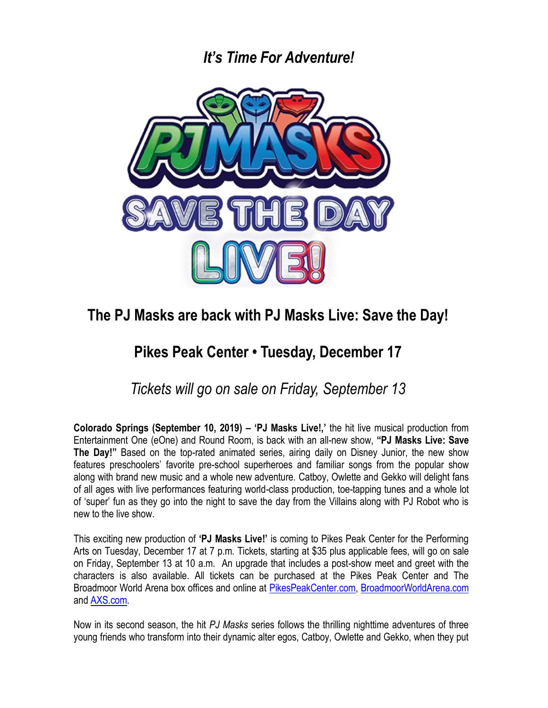### *It's Time For Adventure!*



# **The PJ Masks are back with PJ Masks Live: Save the Day!**

# **Pikes Peak Center • Tuesday, December 17**

*Tickets will go on sale on Friday, September 13*

**Colorado Springs (September 10, 2019) – 'PJ Masks Live!,'** the hit live musical production from Entertainment One (eOne) and Round Room, is back with an all-new show, **"PJ Masks Live: Save The Day!"** Based on the top-rated animated series, airing daily on Disney Junior, the new show features preschoolers' favorite pre-school superheroes and familiar songs from the popular show along with brand new music and a whole new adventure. Catboy, Owlette and Gekko will delight fans of all ages with live performances featuring world-class production, toe-tapping tunes and a whole lot of 'super' fun as they go into the night to save the day from the Villains along with PJ Robot who is new to the live show.

This exciting new production of **'PJ Masks Live!'** is coming to Pikes Peak Center for the Performing Arts on Tuesday, December 17 at 7 p.m. Tickets, starting at \$35 plus applicable fees, will go on sale on Friday, September 13 at 10 a.m. An upgrade that includes a post-show meet and greet with the characters is also available. All tickets can be purchased at the Pikes Peak Center and The Broadmoor World Arena box offices and online at [PikesPeakCenter.com,](http://www.pikespeakcenter.com/) [BroadmoorWorldArena.com](http://www.broadmoorworldarena.com/) and [AXS.com.](http://www.axs.com/)

Now in its second season, the hit *PJ Masks* series follows the thrilling nighttime adventures of three young friends who transform into their dynamic alter egos, Catboy, Owlette and Gekko, when they put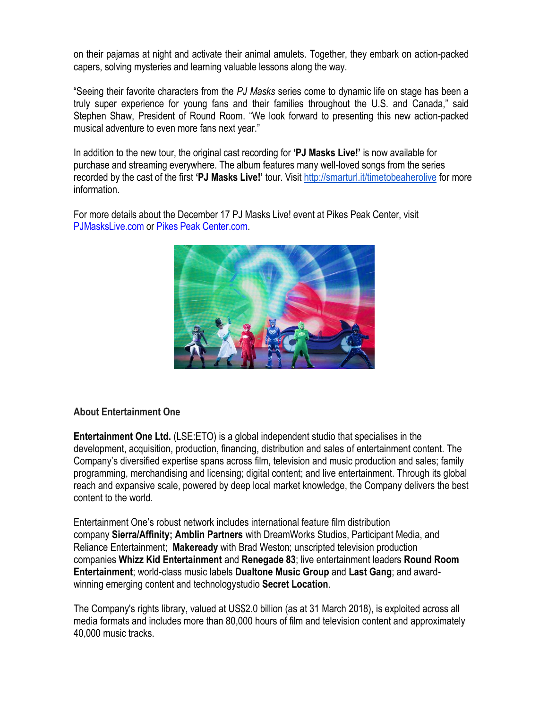on their pajamas at night and activate their animal amulets. Together, they embark on action-packed capers, solving mysteries and learning valuable lessons along the way.

"Seeing their favorite characters from the *PJ Masks* series come to dynamic life on stage has been a truly super experience for young fans and their families throughout the U.S. and Canada," said Stephen Shaw, President of Round Room. "We look forward to presenting this new action-packed musical adventure to even more fans next year."

In addition to the new tour, the original cast recording for **'PJ Masks Live!'** is now available for purchase and streaming everywhere. The album features many well-loved songs from the series recorded by the cast of the first **'PJ Masks Live!'** tour. Visi[t http://smarturl.it/timetobeaherolive](http://smarturl.it/timetobeaherolive) for more information.

For more details about the December 17 PJ Masks Live! event at Pikes Peak Center, visit [PJMasksLive.com](http://www.pjmaskslive.com/) or [Pikes Peak Center.com.](http://www.pikespeakcenter.com/)



#### **About Entertainment One**

**Entertainment One Ltd.** (LSE:ETO) is a global independent studio that specialises in the development, acquisition, production, financing, distribution and sales of entertainment content. The Company's diversified expertise spans across film, television and music production and sales; family programming, merchandising and licensing; digital content; and live entertainment. Through its global reach and expansive scale, powered by deep local market knowledge, the Company delivers the best content to the world.

Entertainment One's robust network includes international feature film distribution company **Sierra/Affinity; Amblin Partners** with DreamWorks Studios, Participant Media, and Reliance Entertainment; **Makeready** with Brad Weston; unscripted television production companies **Whizz Kid Entertainment** and **Renegade 83**; live entertainment leaders **Round Room Entertainment**; world-class music labels **Dualtone Music Group** and **Last Gang**; and awardwinning emerging content and technologystudio **Secret Location**.

The Company's rights library, valued at US\$2.0 billion (as at 31 March 2018), is exploited across all media formats and includes more than 80,000 hours of film and television content and approximately 40,000 music tracks.